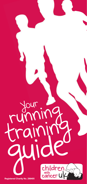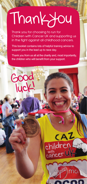# Thankyou

Thank you for choosing to run for Children with Cancer UK and supporting us in the fight against all childhood cancers.

This booklet contains lots of helpful training advice to support you in the lead up to race day.

Thank you from us all at the charity and, most importantly, the children who will benefit from your support.

CAZ

gin moi

children

Good

Iuck!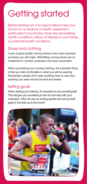### Getting started

Before starting out, it is a good idea to see your doctor for a medical or health assessment particularly if you smoke, have any pre-existing health conditions, history of disease in your family, or potential health conditions.

#### Shoes and clothing

A pair of good quality running shoes is the most important purchase you will make. Well-fitting running shoes are an investment in comfort, protection and injury prevention.

When purchasing your running clothing, the important thing is that you feel comfortable in what you will be wearing. Remember, please don't wear anything new on race day anything you wear should be tried and tested.

#### Setting goals

When starting your training, it's important to set yourself goals. This will give you something to aim for and help with your motivation. Why not use our training guides and set yourself goals in the lead up to the event?

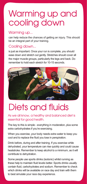### Warming up and cooling down

#### Warming up...

can help reduce the chances of getting an injury. This should be an integral part of your training.

#### Cooling down...

is just as important. Once your run is complete, you should ease down and stretch out gently. Stretches should cover all the major muscle groups, particularly the legs and back. Do remember to hold each stretch for 10-15 seconds.



## Diets and fluids

As we all know, a healthy and balanced diet is essential for good health.

The key to this is simple - everything in moderation, plus some extra carbohydrates if you're exercising.

When you exercise, your body needs extra water to keep you cool and to replace the fluid you lose in perspiration.

Drink before, during and after training. If you exercise while dehydrated, your temperature can rise quickly and could cause heatstroke. Remember to keep alcohol to a minimum, as it will contribute to dehydration.

Some people use sports drinks (isotonic) whilst running as these help to maintain fluid levels better. Sports drinks usually contain fluid, carbohydrates and sodium. Remember to check which drinks will be available on race day and train with them to best simulate your race day experience.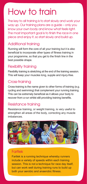### How to train

The key to all training is to start slowly and work your way up. Our training plans are a guide – only you know your own body and know what feels right. The most important goal is to finish the race in one piece and enjoy it, so start slowly and build up.

#### Additional training

Running will form the core of all your training but it is also beneficial to incorporate other types of fitness training in your programme, so that you get to the finish line in the best possible shape.

#### Flexibility training

Flexibility training is stretching at the end of the training session. This will keep your muscles long, supple and injury-free.

#### Cross-training

Cross-training is the name given to other forms of training (e.g. cycling and swimming) that complement your running training. This can be extremely beneficial as it allows your body to recover from a run whilst still providing training benefits.

#### Resistance training

Resistance training, or weight training, is very useful to strengthen all areas of the body, correcting any muscle imbalances.



#### Fartlek

Fartlek is a running technique whereby runners include a variety of speeds within each training session. This is not a technique for race day itself, but can work well during training runs to build up both your aerobic and anaerobic fitness.